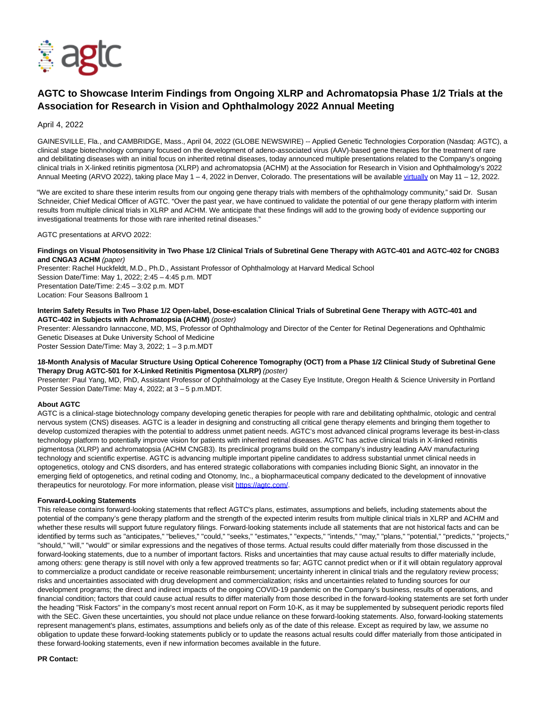

# **AGTC to Showcase Interim Findings from Ongoing XLRP and Achromatopsia Phase 1/2 Trials at the Association for Research in Vision and Ophthalmology 2022 Annual Meeting**

April 4, 2022

GAINESVILLE, Fla., and CAMBRIDGE, Mass., April 04, 2022 (GLOBE NEWSWIRE) -- Applied Genetic Technologies Corporation (Nasdaq: AGTC), a clinical stage biotechnology company focused on the development of adeno-associated virus (AAV)-based gene therapies for the treatment of rare and debilitating diseases with an initial focus on inherited retinal diseases, today announced multiple presentations related to the Company's ongoing clinical trials in X-linked retinitis pigmentosa (XLRP) and achromatopsia (ACHM) at the Association for Research in Vision and Ophthalmology's 2022 Annual Meeting (ARVO 2022), taking place May 1 – 4, 2022 in Denver, Colorado. The presentations will be availabl[e virtually o](https://www.globenewswire.com/Tracker?data=DN01uO5VQiD2panosamzxuuDfXI-EwNRa-9jMmVNWJ5UNhZ0KdQyU8xCgX0qpyB-z7GhHzNkXEFXuwbEa9Cg0OB-4iAnnXBVgLaRU1xIJH8=)n May 11 – 12, 2022.

"We are excited to share these interim results from our ongoing gene therapy trials with members of the ophthalmology community," said Dr. Susan Schneider, Chief Medical Officer of AGTC. "Over the past year, we have continued to validate the potential of our gene therapy platform with interim results from multiple clinical trials in XLRP and ACHM. We anticipate that these findings will add to the growing body of evidence supporting our investigational treatments for those with rare inherited retinal diseases."

AGTC presentations at ARVO 2022:

**Findings on Visual Photosensitivity in Two Phase 1/2 Clinical Trials of Subretinal Gene Therapy with AGTC-401 and AGTC-402 for CNGB3 and CNGA3 ACHM** (paper)

Presenter: Rachel Huckfeldt, M.D., Ph.D., Assistant Professor of Ophthalmology at Harvard Medical School Session Date/Time: May 1, 2022; 2:45 – 4:45 p.m. MDT Presentation Date/Time: 2:45 – 3:02 p.m. MDT Location: Four Seasons Ballroom 1

## **Interim Safety Results in Two Phase 1/2 Open-label, Dose-escalation Clinical Trials of Subretinal Gene Therapy with AGTC-401 and AGTC-402 in Subjects with Achromatopsia (ACHM)** (poster)

Presenter: Alessandro Iannaccone, MD, MS, Professor of Ophthalmology and Director of the Center for Retinal Degenerations and Ophthalmic Genetic Diseases at Duke University School of Medicine

Poster Session Date/Time: May 3, 2022; 1 – 3 p.m.MDT

## **18-Month Analysis of Macular Structure Using Optical Coherence Tomography (OCT) from a Phase 1/2 Clinical Study of Subretinal Gene Therapy Drug AGTC-501 for X-Linked Retinitis Pigmentosa (XLRP)** (poster)

Presenter: Paul Yang, MD, PhD, Assistant Professor of Ophthalmology at the Casey Eye Institute, Oregon Health & Science University in Portland Poster Session Date/Time: May 4, 2022; at 3 – 5 p.m.MDT.

# **About AGTC**

AGTC is a clinical-stage biotechnology company developing genetic therapies for people with rare and debilitating ophthalmic, otologic and central nervous system (CNS) diseases. AGTC is a leader in designing and constructing all critical gene therapy elements and bringing them together to develop customized therapies with the potential to address unmet patient needs. AGTC's most advanced clinical programs leverage its best-in-class technology platform to potentially improve vision for patients with inherited retinal diseases. AGTC has active clinical trials in X-linked retinitis pigmentosa (XLRP) and achromatopsia (ACHM CNGB3). Its preclinical programs build on the company's industry leading AAV manufacturing technology and scientific expertise. AGTC is advancing multiple important pipeline candidates to address substantial unmet clinical needs in optogenetics, otology and CNS disorders, and has entered strategic collaborations with companies including Bionic Sight, an innovator in the emerging field of optogenetics, and retinal coding and Otonomy, Inc., a biopharmaceutical company dedicated to the development of innovative therapeutics for neurotology. For more information, please visit [https://agtc.com/.](https://www.globenewswire.com/Tracker?data=8anrMw3Im1mYXWsYgzAYMIB0lJBLxuEhVOoWrJkP40Ojy6NxTf3uosvxHRvFBdDQpRp1GIGkabG8fvIZHNFhBQ==)

### **Forward-Looking Statements**

This release contains forward-looking statements that reflect AGTC's plans, estimates, assumptions and beliefs, including statements about the potential of the company's gene therapy platform and the strength of the expected interim results from multiple clinical trials in XLRP and ACHM and whether these results will support future regulatory filings. Forward-looking statements include all statements that are not historical facts and can be identified by terms such as "anticipates," "believes," "could," "seeks," "estimates," "expects," "intends," "may," "plans," "potential," "predicts," "projects," "should," "will," "would" or similar expressions and the negatives of those terms. Actual results could differ materially from those discussed in the forward-looking statements, due to a number of important factors. Risks and uncertainties that may cause actual results to differ materially include, among others: gene therapy is still novel with only a few approved treatments so far; AGTC cannot predict when or if it will obtain regulatory approval to commercialize a product candidate or receive reasonable reimbursement; uncertainty inherent in clinical trials and the regulatory review process; risks and uncertainties associated with drug development and commercialization; risks and uncertainties related to funding sources for our development programs; the direct and indirect impacts of the ongoing COVID-19 pandemic on the Company's business, results of operations, and financial condition; factors that could cause actual results to differ materially from those described in the forward-looking statements are set forth under the heading "Risk Factors" in the company's most recent annual report on Form 10-K, as it may be supplemented by subsequent periodic reports filed with the SEC. Given these uncertainties, you should not place undue reliance on these forward-looking statements. Also, forward-looking statements represent management's plans, estimates, assumptions and beliefs only as of the date of this release. Except as required by law, we assume no obligation to update these forward-looking statements publicly or to update the reasons actual results could differ materially from those anticipated in these forward-looking statements, even if new information becomes available in the future.